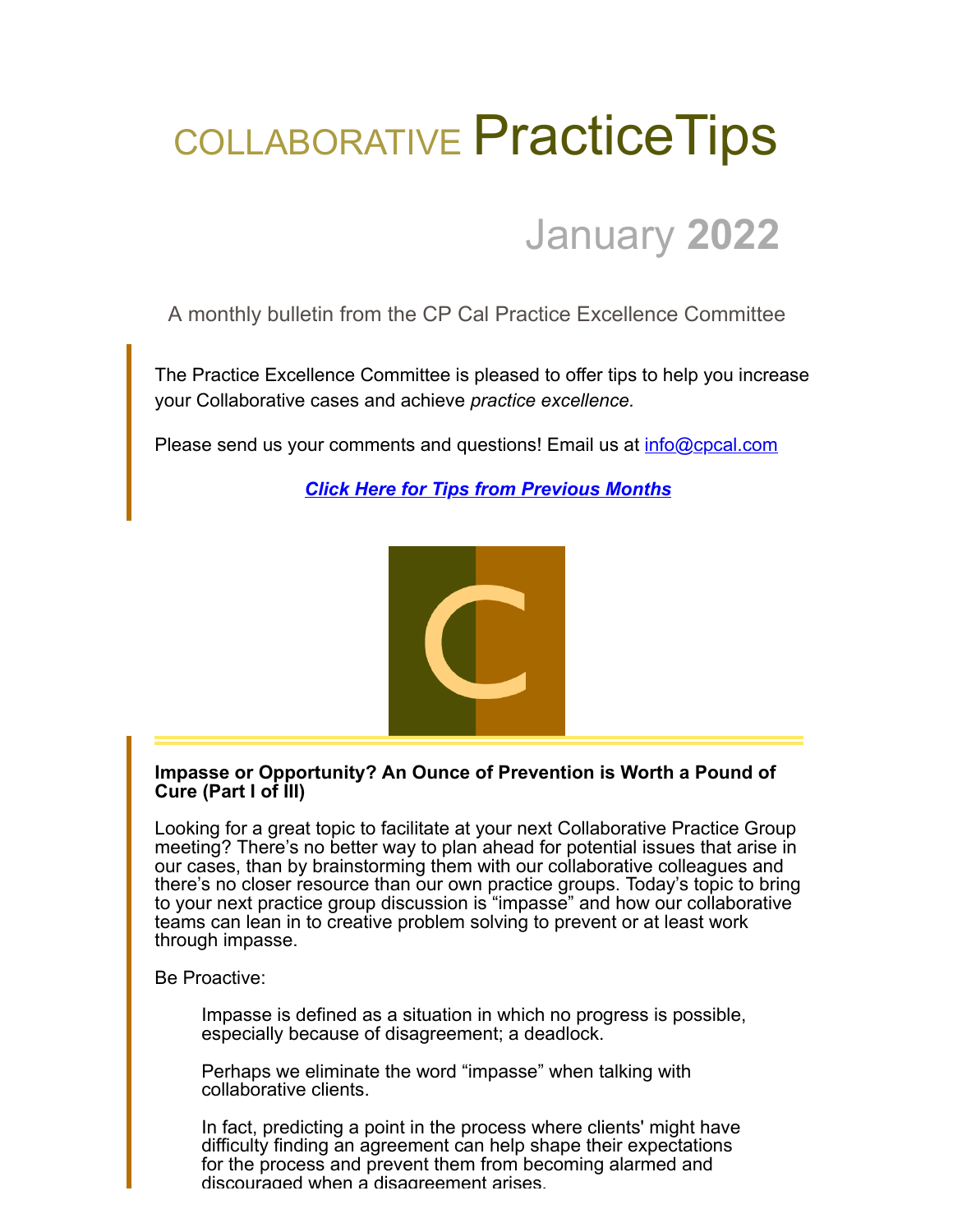# COLLABORATIVE Practice Tips

# January **2022**

A monthly bulletin from the CP Cal Practice Excellence Committee

The Practice Excellence Committee is pleased to offer tips to help you increase your Collaborative cases and achieve *practice excellence.*

Please send us your comments and questions! Email us at [info@cpcal.com](mailto:info@cpcal.com)

*[Click Here for Tips from Previous Months](http://www.cpcal.com/for-professionals/practice-tips-newsletter/)*



### **Impasse or Opportunity? An Ounce of Prevention is Worth a Pound of Cure (Part I of III)**

Looking for a great topic to facilitate at your next Collaborative Practice Group meeting? There's no better way to plan ahead for potential issues that arise in our cases, than by brainstorming them with our collaborative colleagues and there's no closer resource than our own practice groups. Today's topic to bring to your next practice group discussion is "impasse" and how our collaborative teams can lean in to creative problem solving to prevent or at least work through impasse.

Be Proactive:

Impasse is defined as a situation in which no progress is possible, especially because of disagreement; a deadlock.

Perhaps we eliminate the word "impasse" when talking with collaborative clients.

In fact, predicting a point in the process where clients' might have difficulty finding an agreement can help shape their expectations for the process and prevent them from becoming alarmed and discouraged when a disagreement arises.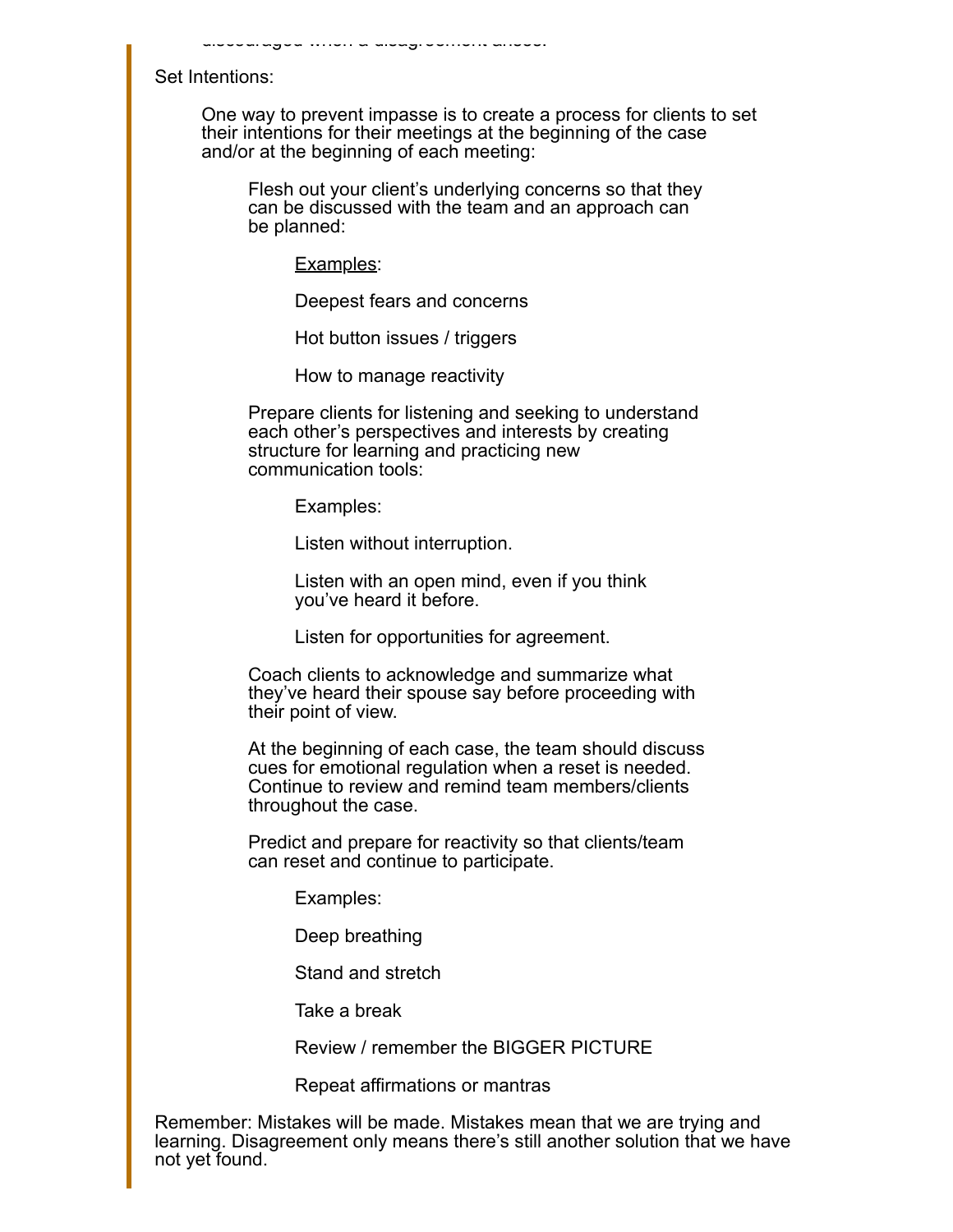Set Intentions:

One way to prevent impasse is to create a process for clients to set their intentions for their meetings at the beginning of the case and/or at the beginning of each meeting:

Flesh out your client's underlying concerns so that they can be discussed with the team and an approach can be planned:

Examples:

discouraged when a disagreement arises.

Deepest fears and concerns

Hot button issues / triggers

How to manage reactivity

Prepare clients for listening and seeking to understand each other's perspectives and interests by creating structure for learning and practicing new communication tools:

Examples:

Listen without interruption.

Listen with an open mind, even if you think you've heard it before.

Listen for opportunities for agreement.

Coach clients to acknowledge and summarize what they've heard their spouse say before proceeding with their point of view.

At the beginning of each case, the team should discuss cues for emotional regulation when a reset is needed. Continue to review and remind team members/clients throughout the case.

Predict and prepare for reactivity so that clients/team can reset and continue to participate.

Examples:

Deep breathing

Stand and stretch

Take a break

Review / remember the BIGGER PICTURE

Repeat affirmations or mantras

Remember: Mistakes will be made. Mistakes mean that we are trying and learning. Disagreement only means there's still another solution that we have not yet found.